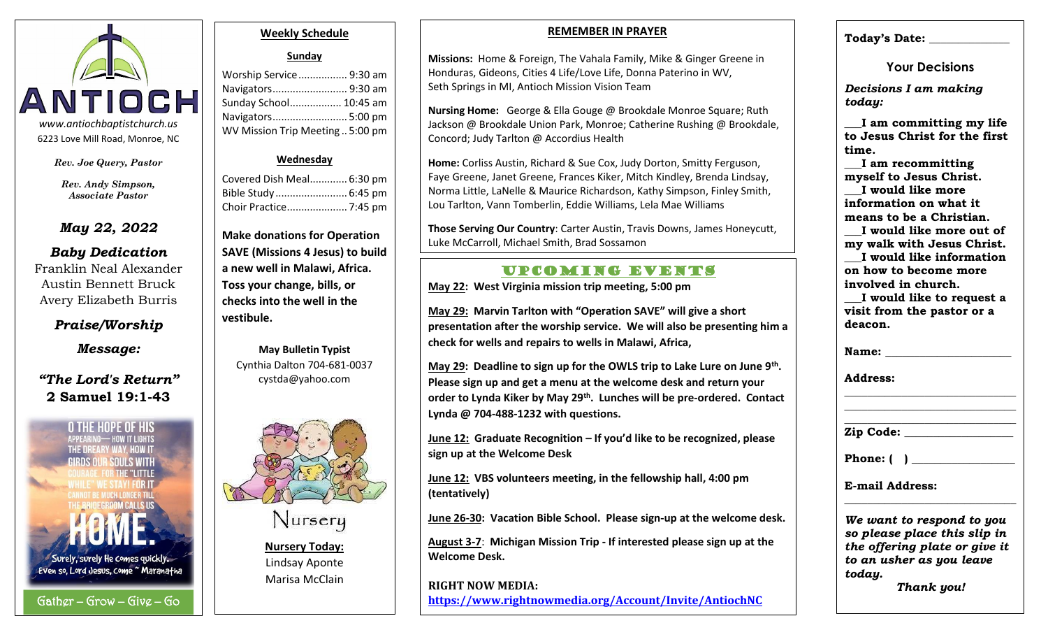

*Rev. Joe Query, Pastor*

*Rev. Andy Simpson, Associate Pastor*

## *May 22, 2022*

*Baby Dedication* Franklin Neal Alexander Austin Bennett Bruck Avery Elizabeth Burris

*Praise/Worship*

*Message:*

*"The Lord's Return"* **2 Samuel 19:1-43**



# **Weekly Schedule**

#### **Sunday**

| Worship Service  9:30 am         |
|----------------------------------|
| Navigators 9:30 am               |
| Sunday School 10:45 am           |
| Navigators 5:00 pm               |
| WV Mission Trip Meeting  5:00 pm |
|                                  |

#### **Wednesday**

Covered Dish Meal............. 6:30 pm Bible Study......................... 6:45 pm Choir Practice..................... 7:45 pm

**Make donations for Operation SAVE (Missions 4 Jesus) to build a new well in Malawi, Africa. Toss your change, bills, or checks into the well in the vestibule.**

**May Bulletin Typist** Cynthia Dalton 704-681-0037 cystda@yahoo.com



Nursery

**Nursery Today:** Lindsay Aponte Marisa McClain

#### **REMEMBER IN PRAYER**

**Missions:** Home & Foreign, The Vahala Family, Mike & Ginger Greene in Honduras, Gideons, Cities 4 Life/Love Life, Donna Paterino in WV, Seth Springs in MI, Antioch Mission Vision Team

**Nursing Home:** George & Ella Gouge @ Brookdale Monroe Square; Ruth Jackson @ Brookdale Union Park, Monroe; Catherine Rushing @ Brookdale, Concord; Judy Tarlton @ Accordius Health

**Home:** Corliss Austin, Richard & Sue Cox, Judy Dorton, Smitty Ferguson, Faye Greene, Janet Greene, Frances Kiker, Mitch Kindley, Brenda Lindsay, Norma Little, LaNelle & Maurice Richardson, Kathy Simpson, Finley Smith, Lou Tarlton, Vann Tomberlin, Eddie Williams, Lela Mae Williams

**Those Serving Our Country**: Carter Austin, Travis Downs, James Honeycutt, Luke McCarroll, Michael Smith, Brad Sossamon

## UPCOMING EVENTS

**May 22: West Virginia mission trip meeting, 5:00 pm**

**May 29: Marvin Tarlton with "Operation SAVE" will give a short presentation after the worship service. We will also be presenting him a check for wells and repairs to wells in Malawi, Africa,**

**May 29: Deadline to sign up for the OWLS trip to Lake Lure on June 9th . Please sign up and get a menu at the welcome desk and return your order to Lynda Kiker by May 29th. Lunches will be pre-ordered. Contact Lynda @ 704-488-1232 with questions.**

**June 12: Graduate Recognition – If you'd like to be recognized, please sign up at the Welcome Desk**

**June 12: VBS volunteers meeting, in the fellowship hall, 4:00 pm (tentatively)**

**June 26-30: Vacation Bible School. Please sign-up at the welcome desk.**

**August 3-7**: **Michigan Mission Trip - If interested please sign up at the Welcome Desk.**

**RIGHT NOW MEDIA: https://www.rightnowmedia.org/Account/Invite/AntiochNC**

#### **Today's Date: \_\_\_\_\_\_\_\_\_\_\_\_\_\_**

**Your Decisions**

*Decisions I am making today:*

**\_\_\_I am committing my life to Jesus Christ for the first time.**

**\_\_\_I am recommitting myself to Jesus Christ. \_\_\_I would like more information on what it means to be a Christian.**

**\_\_\_I would like more out of my walk with Jesus Christ. \_\_\_I would like information on how to become more involved in church.**

**\_\_\_I would like to request a visit from the pastor or a deacon.**

**\_\_\_\_\_\_\_\_\_\_\_\_\_\_\_\_\_\_\_\_\_\_\_\_\_\_\_\_\_\_ \_\_\_\_\_\_\_\_\_\_\_\_\_\_\_\_\_\_\_\_\_\_\_\_\_\_\_\_\_\_ \_\_\_\_\_\_\_\_\_\_\_\_\_\_\_\_\_\_\_\_\_\_\_\_\_\_\_\_\_\_**

Name:

**Address:** 

**Zip Code: \_\_\_\_\_\_\_\_\_\_\_\_\_\_\_\_\_\_\_**

**Phone: ( ) \_\_\_\_\_\_\_\_\_\_\_\_\_\_\_\_\_\_**

**E-mail Address:** 

*We want to respond to you so please place this slip in the offering plate or give it to an usher as you leave today.*

**\_\_\_\_\_\_\_\_\_\_\_\_\_\_\_\_\_\_\_\_\_\_\_\_\_\_\_\_\_\_**

*Thank you!*